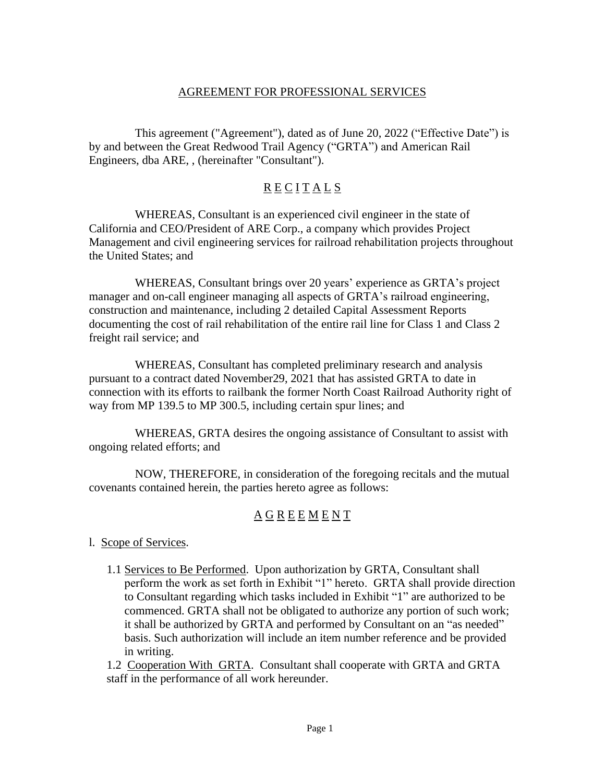### AGREEMENT FOR PROFESSIONAL SERVICES

This agreement ("Agreement"), dated as of June 20, 2022 ("Effective Date") is by and between the Great Redwood Trail Agency ("GRTA") and American Rail Engineers, dba ARE, , (hereinafter "Consultant").

# R E C I T A L S

WHEREAS, Consultant is an experienced civil engineer in the state of California and CEO/President of ARE Corp., a company which provides Project Management and civil engineering services for railroad rehabilitation projects throughout the United States; and

WHEREAS, Consultant brings over 20 years' experience as GRTA's project manager and on-call engineer managing all aspects of GRTA's railroad engineering, construction and maintenance, including 2 detailed Capital Assessment Reports documenting the cost of rail rehabilitation of the entire rail line for Class 1 and Class 2 freight rail service; and

WHEREAS, Consultant has completed preliminary research and analysis pursuant to a contract dated November29, 2021 that has assisted GRTA to date in connection with its efforts to railbank the former North Coast Railroad Authority right of way from MP 139.5 to MP 300.5, including certain spur lines; and

WHEREAS, GRTA desires the ongoing assistance of Consultant to assist with ongoing related efforts; and

NOW, THEREFORE, in consideration of the foregoing recitals and the mutual covenants contained herein, the parties hereto agree as follows:

## A G R E E M E N T

l. Scope of Services.

1.1 Services to Be Performed. Upon authorization by GRTA, Consultant shall perform the work as set forth in Exhibit "1" hereto. GRTA shall provide direction to Consultant regarding which tasks included in Exhibit "1" are authorized to be commenced. GRTA shall not be obligated to authorize any portion of such work; it shall be authorized by GRTA and performed by Consultant on an "as needed" basis. Such authorization will include an item number reference and be provided in writing.

1.2 Cooperation With GRTA. Consultant shall cooperate with GRTA and GRTA staff in the performance of all work hereunder.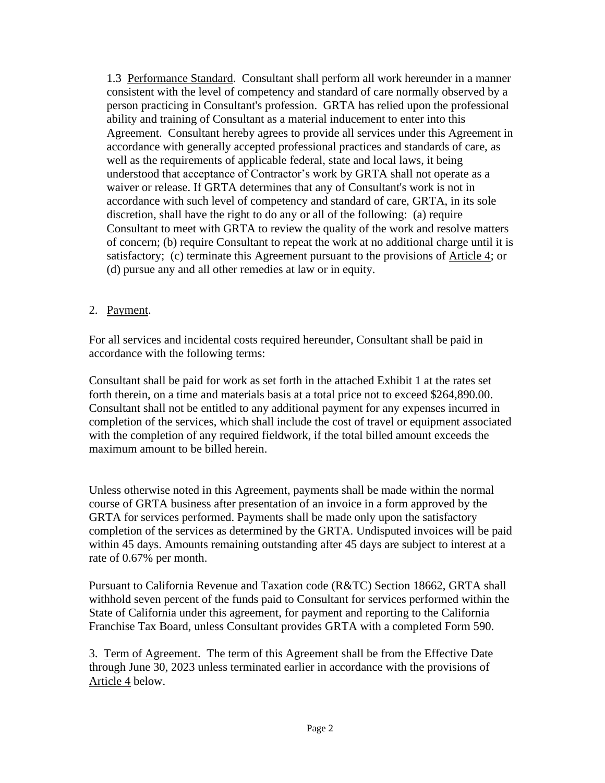1.3 Performance Standard. Consultant shall perform all work hereunder in a manner consistent with the level of competency and standard of care normally observed by a person practicing in Consultant's profession. GRTA has relied upon the professional ability and training of Consultant as a material inducement to enter into this Agreement. Consultant hereby agrees to provide all services under this Agreement in accordance with generally accepted professional practices and standards of care, as well as the requirements of applicable federal, state and local laws, it being understood that acceptance of Contractor's work by GRTA shall not operate as a waiver or release. If GRTA determines that any of Consultant's work is not in accordance with such level of competency and standard of care, GRTA, in its sole discretion, shall have the right to do any or all of the following: (a) require Consultant to meet with GRTA to review the quality of the work and resolve matters of concern; (b) require Consultant to repeat the work at no additional charge until it is satisfactory; (c) terminate this Agreement pursuant to the provisions of Article 4; or (d) pursue any and all other remedies at law or in equity.

### 2. Payment.

For all services and incidental costs required hereunder, Consultant shall be paid in accordance with the following terms:

Consultant shall be paid for work as set forth in the attached Exhibit 1 at the rates set forth therein, on a time and materials basis at a total price not to exceed \$264,890.00. Consultant shall not be entitled to any additional payment for any expenses incurred in completion of the services, which shall include the cost of travel or equipment associated with the completion of any required fieldwork, if the total billed amount exceeds the maximum amount to be billed herein.

Unless otherwise noted in this Agreement, payments shall be made within the normal course of GRTA business after presentation of an invoice in a form approved by the GRTA for services performed. Payments shall be made only upon the satisfactory completion of the services as determined by the GRTA. Undisputed invoices will be paid within 45 days. Amounts remaining outstanding after 45 days are subject to interest at a rate of 0.67% per month.

Pursuant to California Revenue and Taxation code (R&TC) Section 18662, GRTA shall withhold seven percent of the funds paid to Consultant for services performed within the State of California under this agreement, for payment and reporting to the California Franchise Tax Board, unless Consultant provides GRTA with a completed Form 590.

3. Term of Agreement. The term of this Agreement shall be from the Effective Date through June 30, 2023 unless terminated earlier in accordance with the provisions of Article 4 below.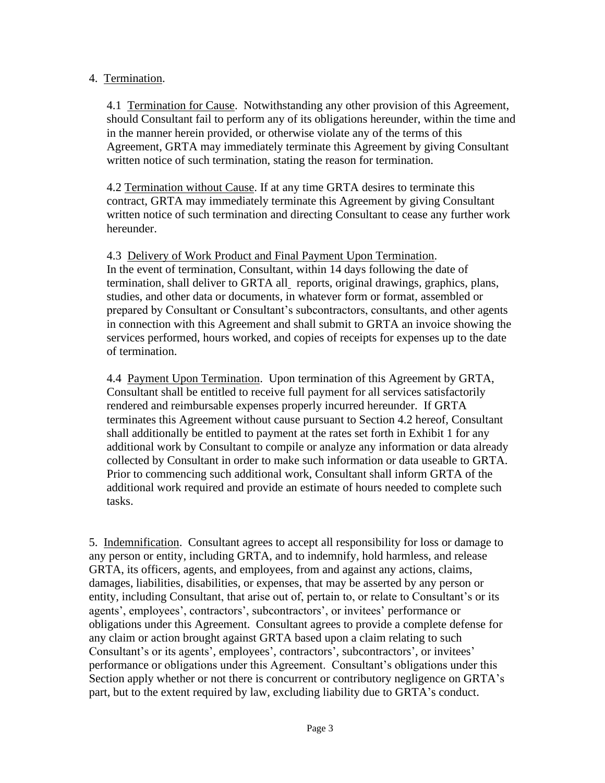### 4. Termination.

4.1 Termination for Cause. Notwithstanding any other provision of this Agreement, should Consultant fail to perform any of its obligations hereunder, within the time and in the manner herein provided, or otherwise violate any of the terms of this Agreement, GRTA may immediately terminate this Agreement by giving Consultant written notice of such termination, stating the reason for termination.

4.2 Termination without Cause. If at any time GRTA desires to terminate this contract, GRTA may immediately terminate this Agreement by giving Consultant written notice of such termination and directing Consultant to cease any further work hereunder.

4.3 Delivery of Work Product and Final Payment Upon Termination. In the event of termination, Consultant, within 14 days following the date of termination, shall deliver to GRTA all reports, original drawings, graphics, plans, studies, and other data or documents, in whatever form or format, assembled or prepared by Consultant or Consultant's subcontractors, consultants, and other agents in connection with this Agreement and shall submit to GRTA an invoice showing the services performed, hours worked, and copies of receipts for expenses up to the date of termination.

4.4 Payment Upon Termination. Upon termination of this Agreement by GRTA, Consultant shall be entitled to receive full payment for all services satisfactorily rendered and reimbursable expenses properly incurred hereunder. If GRTA terminates this Agreement without cause pursuant to Section 4.2 hereof, Consultant shall additionally be entitled to payment at the rates set forth in Exhibit 1 for any additional work by Consultant to compile or analyze any information or data already collected by Consultant in order to make such information or data useable to GRTA. Prior to commencing such additional work, Consultant shall inform GRTA of the additional work required and provide an estimate of hours needed to complete such tasks.

5. Indemnification. Consultant agrees to accept all responsibility for loss or damage to any person or entity, including GRTA, and to indemnify, hold harmless, and release GRTA, its officers, agents, and employees, from and against any actions, claims, damages, liabilities, disabilities, or expenses, that may be asserted by any person or entity, including Consultant, that arise out of, pertain to, or relate to Consultant's or its agents', employees', contractors', subcontractors', or invitees' performance or obligations under this Agreement. Consultant agrees to provide a complete defense for any claim or action brought against GRTA based upon a claim relating to such Consultant's or its agents', employees', contractors', subcontractors', or invitees' performance or obligations under this Agreement. Consultant's obligations under this Section apply whether or not there is concurrent or contributory negligence on GRTA's part, but to the extent required by law, excluding liability due to GRTA's conduct.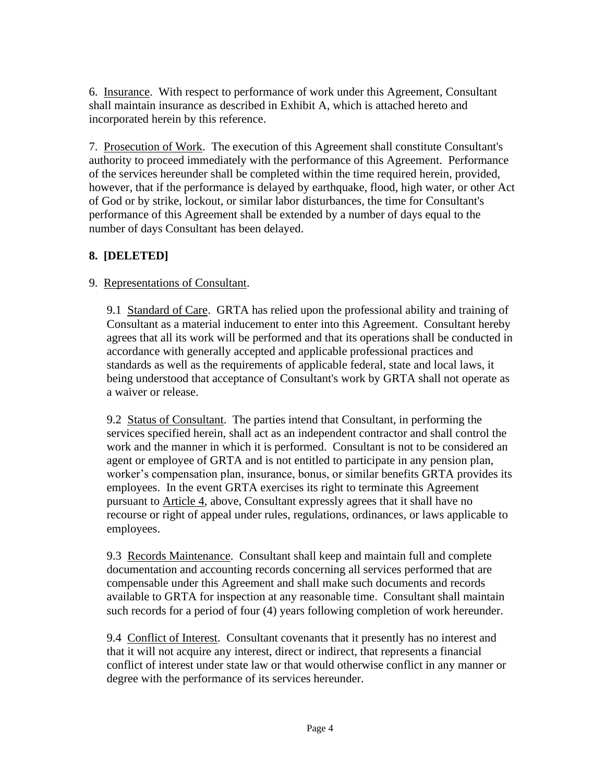6. Insurance. With respect to performance of work under this Agreement, Consultant shall maintain insurance as described in Exhibit A, which is attached hereto and incorporated herein by this reference.

7. Prosecution of Work. The execution of this Agreement shall constitute Consultant's authority to proceed immediately with the performance of this Agreement. Performance of the services hereunder shall be completed within the time required herein, provided, however, that if the performance is delayed by earthquake, flood, high water, or other Act of God or by strike, lockout, or similar labor disturbances, the time for Consultant's performance of this Agreement shall be extended by a number of days equal to the number of days Consultant has been delayed.

## **8. [DELETED]**

### 9. Representations of Consultant.

9.1 Standard of Care. GRTA has relied upon the professional ability and training of Consultant as a material inducement to enter into this Agreement. Consultant hereby agrees that all its work will be performed and that its operations shall be conducted in accordance with generally accepted and applicable professional practices and standards as well as the requirements of applicable federal, state and local laws, it being understood that acceptance of Consultant's work by GRTA shall not operate as a waiver or release.

9.2 Status of Consultant. The parties intend that Consultant, in performing the services specified herein, shall act as an independent contractor and shall control the work and the manner in which it is performed. Consultant is not to be considered an agent or employee of GRTA and is not entitled to participate in any pension plan, worker's compensation plan, insurance, bonus, or similar benefits GRTA provides its employees. In the event GRTA exercises its right to terminate this Agreement pursuant to Article 4, above, Consultant expressly agrees that it shall have no recourse or right of appeal under rules, regulations, ordinances, or laws applicable to employees.

9.3 Records Maintenance. Consultant shall keep and maintain full and complete documentation and accounting records concerning all services performed that are compensable under this Agreement and shall make such documents and records available to GRTA for inspection at any reasonable time. Consultant shall maintain such records for a period of four (4) years following completion of work hereunder.

9.4 Conflict of Interest. Consultant covenants that it presently has no interest and that it will not acquire any interest, direct or indirect, that represents a financial conflict of interest under state law or that would otherwise conflict in any manner or degree with the performance of its services hereunder.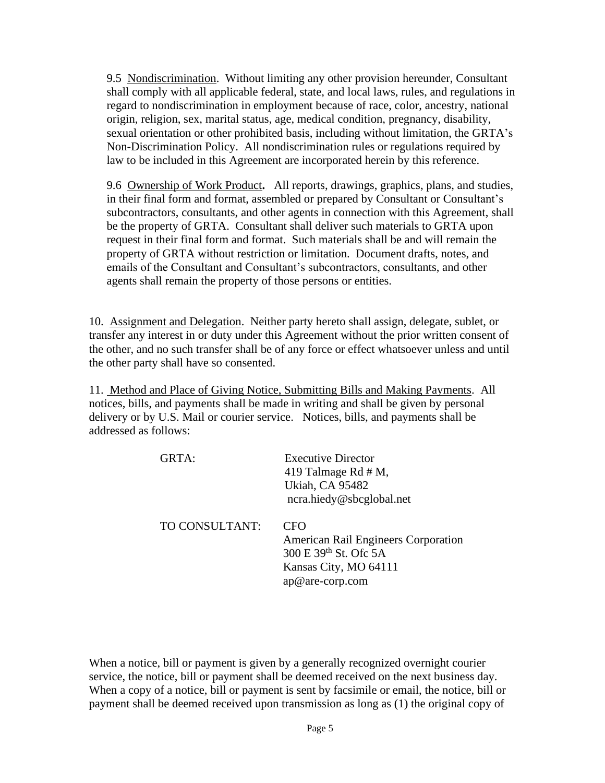9.5 Nondiscrimination. Without limiting any other provision hereunder, Consultant shall comply with all applicable federal, state, and local laws, rules, and regulations in regard to nondiscrimination in employment because of race, color, ancestry, national origin, religion, sex, marital status, age, medical condition, pregnancy, disability, sexual orientation or other prohibited basis, including without limitation, the GRTA's Non-Discrimination Policy. All nondiscrimination rules or regulations required by law to be included in this Agreement are incorporated herein by this reference.

9.6 Ownership of Work Product**.** All reports, drawings, graphics, plans, and studies, in their final form and format, assembled or prepared by Consultant or Consultant's subcontractors, consultants, and other agents in connection with this Agreement, shall be the property of GRTA. Consultant shall deliver such materials to GRTA upon request in their final form and format. Such materials shall be and will remain the property of GRTA without restriction or limitation. Document drafts, notes, and emails of the Consultant and Consultant's subcontractors, consultants, and other agents shall remain the property of those persons or entities.

10. Assignment and Delegation. Neither party hereto shall assign, delegate, sublet, or transfer any interest in or duty under this Agreement without the prior written consent of the other, and no such transfer shall be of any force or effect whatsoever unless and until the other party shall have so consented.

11. Method and Place of Giving Notice, Submitting Bills and Making Payments. All notices, bills, and payments shall be made in writing and shall be given by personal delivery or by U.S. Mail or courier service. Notices, bills, and payments shall be addressed as follows:

| GRTA:          | <b>Executive Director</b><br>419 Talmage Rd $# M$ ,<br><b>Ukiah, CA 95482</b><br>ncra.hiedy@sbcglobal.net              |
|----------------|------------------------------------------------------------------------------------------------------------------------|
| TO CONSULTANT: | CFO<br><b>American Rail Engineers Corporation</b><br>300 E 39th St. Ofc 5A<br>Kansas City, MO 64111<br>ap@are-corp.com |

When a notice, bill or payment is given by a generally recognized overnight courier service, the notice, bill or payment shall be deemed received on the next business day. When a copy of a notice, bill or payment is sent by facsimile or email, the notice, bill or payment shall be deemed received upon transmission as long as (1) the original copy of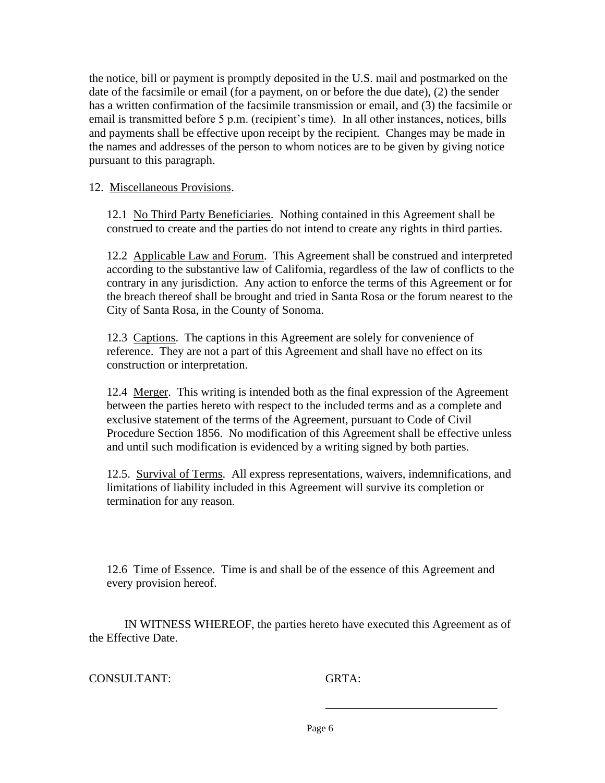the notice, bill or payment is promptly deposited in the U.S. mail and postmarked on the date of the facsimile or email (for a payment, on or before the due date), (2) the sender has a written confirmation of the facsimile transmission or email, and (3) the facsimile or email is transmitted before 5 p.m. (recipient's time). In all other instances, notices, bills and payments shall be effective upon receipt by the recipient. Changes may be made in the names and addresses of the person to whom notices are to be given by giving notice pursuant to this paragraph.

#### 12. Miscellaneous Provisions.

12.1 No Third Party Beneficiaries. Nothing contained in this Agreement shall be construed to create and the parties do not intend to create any rights in third parties.

12.2 Applicable Law and Forum. This Agreement shall be construed and interpreted according to the substantive law of California, regardless of the law of conflicts to the contrary in any jurisdiction. Any action to enforce the terms of this Agreement or for the breach thereof shall be brought and tried in Santa Rosa or the forum nearest to the City of Santa Rosa, in the County of Sonoma.

12.3 Captions. The captions in this Agreement are solely for convenience of reference. They are not a part of this Agreement and shall have no effect on its construction or interpretation.

12.4 Merger. This writing is intended both as the final expression of the Agreement between the parties hereto with respect to the included terms and as a complete and exclusive statement of the terms of the Agreement, pursuant to Code of Civil Procedure Section 1856. No modification of this Agreement shall be effective unless and until such modification is evidenced by a writing signed by both parties.

12.5. Survival of Terms. All express representations, waivers, indemnifications, and limitations of liability included in this Agreement will survive its completion or termination for any reason.

12.6 Time of Essence. Time is and shall be of the essence of this Agreement and every provision hereof.

IN WITNESS WHEREOF, the parties hereto have executed this Agreement as of the Effective Date.

#### CONSULTANT: GRTA:

\_\_\_\_\_\_\_\_\_\_\_\_\_\_\_\_\_\_\_\_\_\_\_\_\_\_\_\_\_